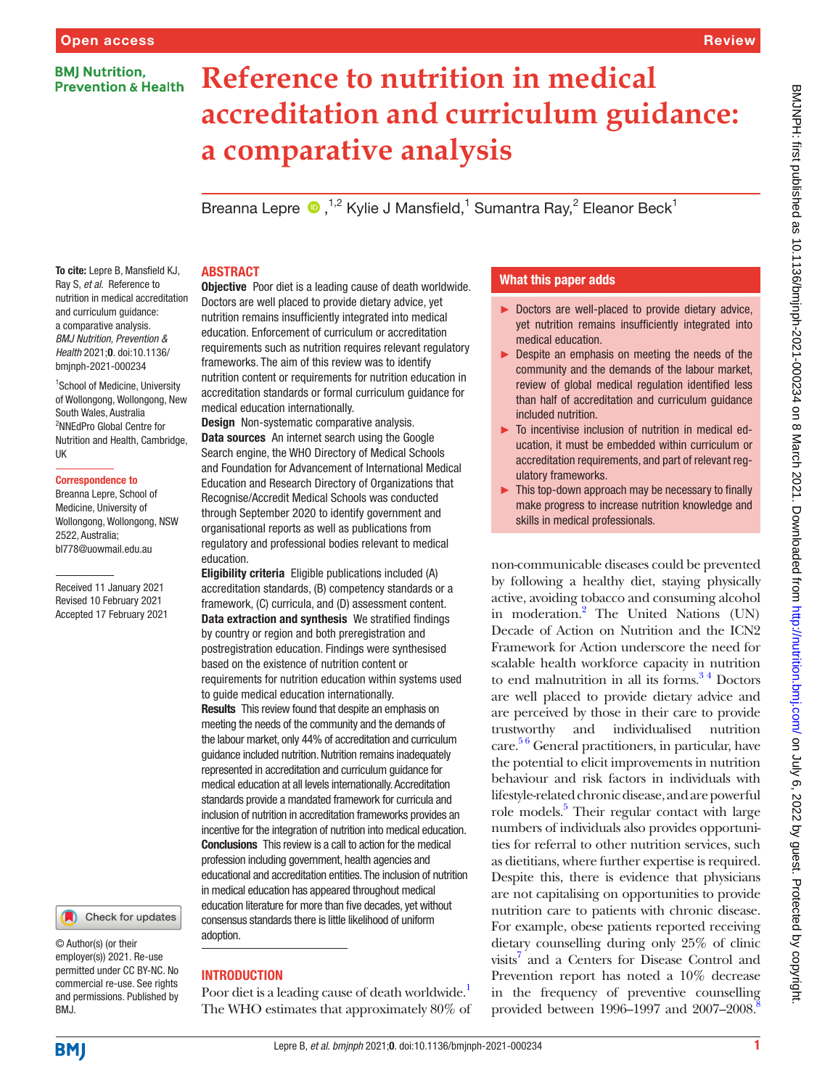**BMI Nutrition. Prevention & Health** 

# **Reference to nutrition in medical accreditation and curriculum guidance: a comparative analysis**

Breanna Lepre  $\bigcirc$ , <sup>1,2</sup> Kylie J Mansfield,<sup>1</sup> Sumantra Ray,<sup>2</sup> Eleanor Beck<sup>1</sup>

#### To cite: Lepre B, Mansfield KJ, Ray S, *et al*. Reference to nutrition in medical accreditation and curriculum guidance: a comparative analysis. *BMJ Nutrition, Prevention & Health* 2021;0. doi:10.1136/ bmjnph-2021-000234

<sup>1</sup>School of Medicine, University of Wollongong, Wollongong, New South Wales, Australia 2 NNEdPro Global Centre for Nutrition and Health, Cambridge, UK

#### Correspondence to

Breanna Lepre, School of Medicine, University of Wollongong, Wollongong, NSW 2522, Australia; bl778@uowmail.edu.au

Received 11 January 2021 Revised 10 February 2021 Accepted 17 February 2021



© Author(s) (or their employer(s)) 2021. Re-use permitted under CC BY-NC. No commercial re-use. See rights and permissions. Published by BMJ.

## ABSTRACT

Objective Poor diet is a leading cause of death worldwide. Doctors are well placed to provide dietary advice, yet nutrition remains insufficiently integrated into medical education. Enforcement of curriculum or accreditation requirements such as nutrition requires relevant regulatory frameworks. The aim of this review was to identify nutrition content or requirements for nutrition education in accreditation standards or formal curriculum guidance for medical education internationally.

Design Non-systematic comparative analysis. Data sources An internet search using the Google Search engine, the WHO Directory of Medical Schools and Foundation for Advancement of International Medical Education and Research Directory of Organizations that Recognise/Accredit Medical Schools was conducted through September 2020 to identify government and organisational reports as well as publications from regulatory and professional bodies relevant to medical education.

Eligibility criteria Eligible publications included (A) accreditation standards, (B) competency standards or a framework, (C) curricula, and (D) assessment content. Data extraction and synthesis We stratified findings by country or region and both preregistration and postregistration education. Findings were synthesised based on the existence of nutrition content or requirements for nutrition education within systems used to guide medical education internationally.

Results This review found that despite an emphasis on meeting the needs of the community and the demands of the labour market, only 44% of accreditation and curriculum guidance included nutrition. Nutrition remains inadequately represented in accreditation and curriculum guidance for medical education at all levels internationally. Accreditation standards provide a mandated framework for curricula and inclusion of nutrition in accreditation frameworks provides an incentive for the integration of nutrition into medical education. Conclusions This review is a call to action for the medical profession including government, health agencies and educational and accreditation entities. The inclusion of nutrition in medical education has appeared throughout medical education literature for more than five decades, yet without consensus standards there is little likelihood of uniform adoption.

## INTRODUCTION

Poor diet is a leading cause of death worldwide.<sup>1</sup> The WHO estimates that approximately 80% of

## What this paper adds

- ► Doctors are well-placed to provide dietary advice, yet nutrition remains insufficiently integrated into medical education.
- ► Despite an emphasis on meeting the needs of the community and the demands of the labour market, review of global medical regulation identified less than half of accreditation and curriculum guidance included nutrition.
- ► To incentivise inclusion of nutrition in medical education, it must be embedded within curriculum or accreditation requirements, and part of relevant regulatory frameworks.
- $\blacktriangleright$  This top-down approach may be necessary to finally make progress to increase nutrition knowledge and skills in medical professionals.

non-communicable diseases could be prevented by following a healthy diet, staying physically active, avoiding tobacco and consuming alcohol in moderation[.2](#page-10-1) The United Nations (UN) Decade of Action on Nutrition and the ICN2 Framework for Action underscore the need for scalable health workforce capacity in nutrition to end malnutrition in all its forms. $3<sup>4</sup>$  Doctors are well placed to provide dietary advice and are perceived by those in their care to provide trustworthy and individualised nutrition care. [5 6](#page-10-3) General practitioners, in particular, have the potential to elicit improvements in nutrition behaviour and risk factors in individuals with lifestyle-related chronic disease, and are powerful role models.<sup>5</sup> Their regular contact with large numbers of individuals also provides opportunities for referral to other nutrition services, such as dietitians, where further expertise is required. Despite this, there is evidence that physicians are not capitalising on opportunities to provide nutrition care to patients with chronic disease. For example, obese patients reported receiving dietary counselling during only 25% of clinic visits<sup>7</sup> and a Centers for Disease Control and Prevention report has noted a 10% decrease in the frequency of preventive counselling provided between 1996–1997 and  $2007-2008$ .<sup>8</sup>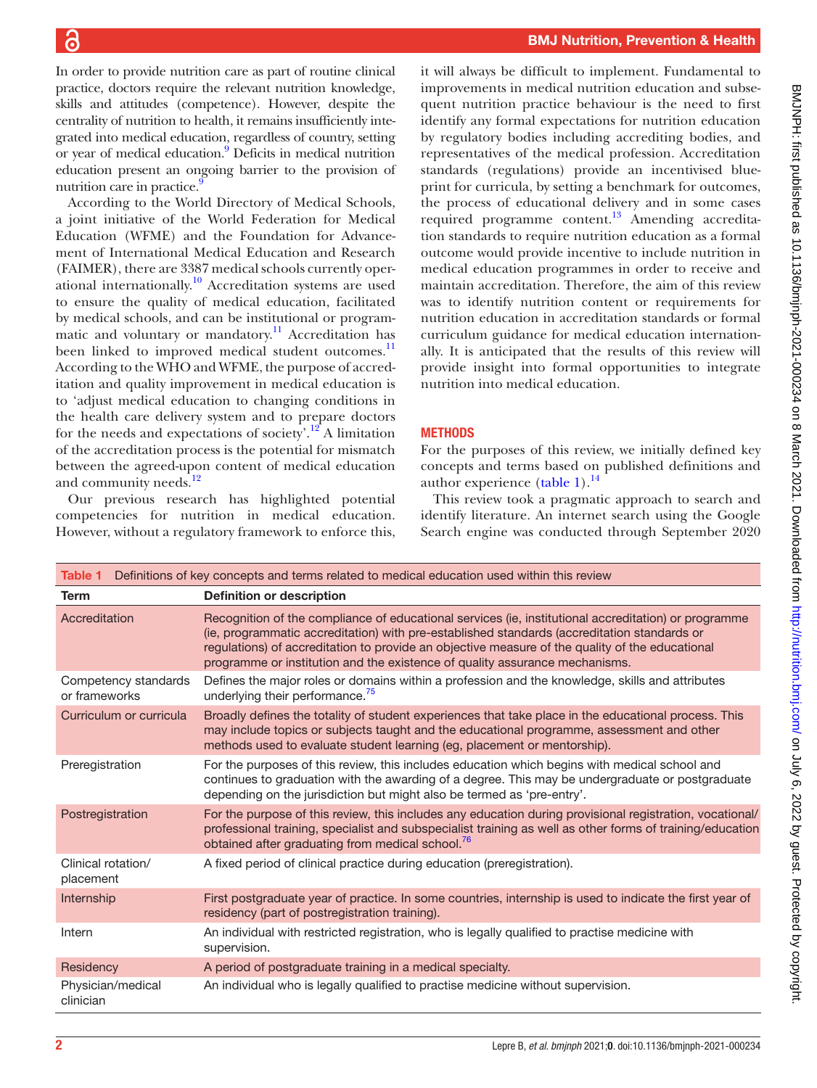In order to provide nutrition care as part of routine clinical practice, doctors require the relevant nutrition knowledge, skills and attitudes (competence). However, despite the centrality of nutrition to health, it remains insufficiently integrated into medical education, regardless of country, setting or year of medical education.<sup>[9](#page-10-6)</sup> Deficits in medical nutrition education present an ongoing barrier to the provision of nutrition care in practice.<sup>9</sup>

According to the World Directory of Medical Schools, a joint initiative of the World Federation for Medical Education (WFME) and the Foundation for Advancement of International Medical Education and Research (FAIMER), there are 3387 medical schools currently operational internationally[.10](#page-10-7) Accreditation systems are used to ensure the quality of medical education, facilitated by medical schools, and can be institutional or programmatic and voluntary or mandatory.<sup>11</sup> Accreditation has been linked to improved medical student outcomes.<sup>[11](#page-10-8)</sup> According to the WHO and WFME, the purpose of accreditation and quality improvement in medical education is to 'adjust medical education to changing conditions in the health care delivery system and to prepare doctors for the needs and expectations of society'.<sup>[12](#page-10-9)</sup> A limitation of the accreditation process is the potential for mismatch between the agreed-upon content of medical education and community needs.<sup>[12](#page-10-9)</sup>

Our previous research has highlighted potential competencies for nutrition in medical education. However, without a regulatory framework to enforce this, it will always be difficult to implement. Fundamental to improvements in medical nutrition education and subsequent nutrition practice behaviour is the need to first identify any formal expectations for nutrition education by regulatory bodies including accrediting bodies, and representatives of the medical profession. Accreditation standards (regulations) provide an incentivised blueprint for curricula, by setting a benchmark for outcomes, the process of educational delivery and in some cases required programme content.<sup>13</sup> Amending accreditation standards to require nutrition education as a formal outcome would provide incentive to include nutrition in medical education programmes in order to receive and maintain accreditation. Therefore, the aim of this review was to identify nutrition content or requirements for nutrition education in accreditation standards or formal curriculum guidance for medical education internationally. It is anticipated that the results of this review will provide insight into formal opportunities to integrate nutrition into medical education.

## **METHODS**

For the purposes of this review, we initially defined key concepts and terms based on published definitions and author experience  $(table 1).<sup>14</sup>$  $(table 1).<sup>14</sup>$ 

This review took a pragmatic approach to search and identify literature. An internet search using the Google Search engine was conducted through September 2020

<span id="page-1-0"></span>

| Table 1                               | Definitions of key concepts and terms related to medical education used within this review                                                                                                                                                                                                                                                                                            |
|---------------------------------------|---------------------------------------------------------------------------------------------------------------------------------------------------------------------------------------------------------------------------------------------------------------------------------------------------------------------------------------------------------------------------------------|
| <b>Term</b>                           | <b>Definition or description</b>                                                                                                                                                                                                                                                                                                                                                      |
| Accreditation                         | Recognition of the compliance of educational services (ie, institutional accreditation) or programme<br>(ie, programmatic accreditation) with pre-established standards (accreditation standards or<br>regulations) of accreditation to provide an objective measure of the quality of the educational<br>programme or institution and the existence of quality assurance mechanisms. |
| Competency standards<br>or frameworks | Defines the major roles or domains within a profession and the knowledge, skills and attributes<br>underlying their performance. <sup>75</sup>                                                                                                                                                                                                                                        |
| Curriculum or curricula               | Broadly defines the totality of student experiences that take place in the educational process. This<br>may include topics or subjects taught and the educational programme, assessment and other<br>methods used to evaluate student learning (eg, placement or mentorship).                                                                                                         |
| Preregistration                       | For the purposes of this review, this includes education which begins with medical school and<br>continues to graduation with the awarding of a degree. This may be undergraduate or postgraduate<br>depending on the jurisdiction but might also be termed as 'pre-entry'.                                                                                                           |
| Postregistration                      | For the purpose of this review, this includes any education during provisional registration, vocational/<br>professional training, specialist and subspecialist training as well as other forms of training/education<br>obtained after graduating from medical school. <sup>76</sup>                                                                                                 |
| Clinical rotation/<br>placement       | A fixed period of clinical practice during education (preregistration).                                                                                                                                                                                                                                                                                                               |
| Internship                            | First postgraduate year of practice. In some countries, internship is used to indicate the first year of<br>residency (part of postregistration training).                                                                                                                                                                                                                            |
| Intern                                | An individual with restricted registration, who is legally qualified to practise medicine with<br>supervision.                                                                                                                                                                                                                                                                        |
| Residency                             | A period of postgraduate training in a medical specialty.                                                                                                                                                                                                                                                                                                                             |
| Physician/medical<br>clinician        | An individual who is legally qualified to practise medicine without supervision.                                                                                                                                                                                                                                                                                                      |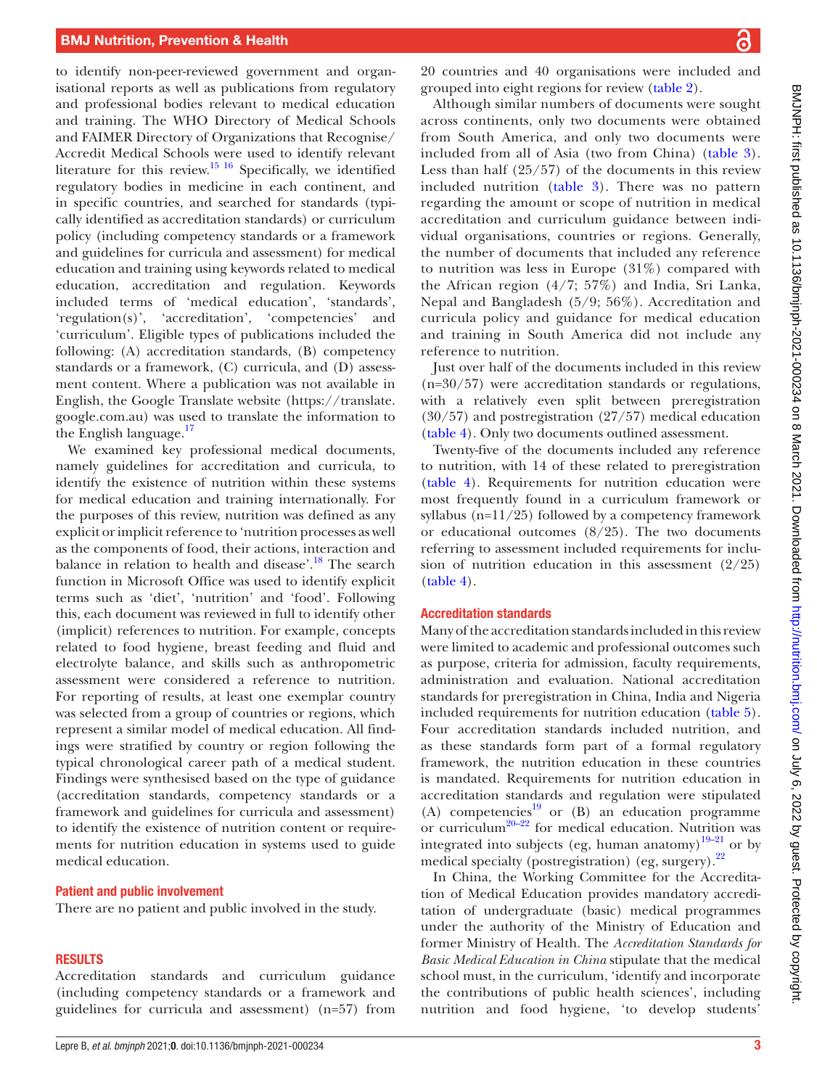## BMJ Nutrition, Prevention & Health

to identify non-peer-reviewed government and organisational reports as well as publications from regulatory and professional bodies relevant to medical education and training. The WHO Directory of Medical Schools and FAIMER Directory of Organizations that Recognise/ Accredit Medical Schools were used to identify relevant literature for this review.[15 16](#page-10-12) Specifically, we identified regulatory bodies in medicine in each continent, and in specific countries, and searched for standards (typically identified as accreditation standards) or curriculum policy (including competency standards or a framework and guidelines for curricula and assessment) for medical education and training using keywords related to medical education, accreditation and regulation. Keywords included terms of 'medical education', 'standards', 'regulation(s)', 'accreditation', 'competencies' and 'curriculum'. Eligible types of publications included the following: (A) accreditation standards, (B) competency standards or a framework, (C) curricula, and (D) assessment content. Where a publication was not available in English, the Google Translate website [\(https://translate.](https://translate.google.com.au) [google.com.au](https://translate.google.com.au)) was used to translate the information to the English language.<sup>[17](#page-10-13)</sup>

We examined key professional medical documents, namely guidelines for accreditation and curricula, to identify the existence of nutrition within these systems for medical education and training internationally. For the purposes of this review, nutrition was defined as any explicit or implicit reference to 'nutrition processes as well as the components of food, their actions, interaction and balance in relation to health and disease'.<sup>[18](#page-10-14)</sup> The search function in Microsoft Office was used to identify explicit terms such as 'diet', 'nutrition' and 'food'. Following this, each document was reviewed in full to identify other (implicit) references to nutrition. For example, concepts related to food hygiene, breast feeding and fluid and electrolyte balance, and skills such as anthropometric assessment were considered a reference to nutrition. For reporting of results, at least one exemplar country was selected from a group of countries or regions, which represent a similar model of medical education. All findings were stratified by country or region following the typical chronological career path of a medical student. Findings were synthesised based on the type of guidance (accreditation standards, competency standards or a framework and guidelines for curricula and assessment) to identify the existence of nutrition content or requirements for nutrition education in systems used to guide medical education.

#### Patient and public involvement

There are no patient and public involved in the study.

## RESULTS

Accreditation standards and curriculum guidance (including competency standards or a framework and guidelines for curricula and assessment) (n=57) from

20 countries and 40 organisations were included and grouped into eight regions for review [\(table](#page-3-0) 2).

Although similar numbers of documents were sought across continents, only two documents were obtained from South America, and only two documents were included from all of Asia (two from China) [\(table](#page-4-0) 3). Less than half (25/57) of the documents in this review included nutrition ([table](#page-4-0) 3). There was no pattern regarding the amount or scope of nutrition in medical accreditation and curriculum guidance between individual organisations, countries or regions. Generally, the number of documents that included any reference to nutrition was less in Europe (31%) compared with the African region (4/7; 57%) and India, Sri Lanka, Nepal and Bangladesh (5/9; 56%). Accreditation and curricula policy and guidance for medical education and training in South America did not include any reference to nutrition.

Just over half of the documents included in this review (n=30/57) were accreditation standards or regulations, with a relatively even split between preregistration (30/57) and postregistration (27/57) medical education [\(table](#page-4-1) 4). Only two documents outlined assessment.

Twenty-five of the documents included any reference to nutrition, with 14 of these related to preregistration [\(table](#page-4-1) 4). Requirements for nutrition education were most frequently found in a curriculum framework or syllabus (n=11/25) followed by a competency framework or educational outcomes (8/25). The two documents referring to assessment included requirements for inclusion of nutrition education in this assessment  $(2/25)$ [\(table](#page-4-1) 4).

#### Accreditation standards

Many of the accreditation standards included in this review were limited to academic and professional outcomes such as purpose, criteria for admission, faculty requirements, administration and evaluation. National accreditation standards for preregistration in China, India and Nigeria included requirements for nutrition education [\(table](#page-5-0) 5). Four accreditation standards included nutrition, and as these standards form part of a formal regulatory framework, the nutrition education in these countries is mandated. Requirements for nutrition education in accreditation standards and regulation were stipulated (A) competencies<sup>19</sup> or  $(B)$  an education programme or curriculum<sup>20-22</sup> for medical education. Nutrition was integrated into subjects (eg, human anatomy)<sup>[19–21](#page-10-15)</sup> or by medical specialty (postregistration) (eg, surgery).<sup>[22](#page-10-17)</sup>

In China, the Working Committee for the Accreditation of Medical Education provides mandatory accreditation of undergraduate (basic) medical programmes under the authority of the Ministry of Education and former Ministry of Health. The *Accreditation Standards for Basic Medical Education in China* stipulate that the medical school must, in the curriculum, 'identify and incorporate the contributions of public health sciences', including nutrition and food hygiene, 'to develop students'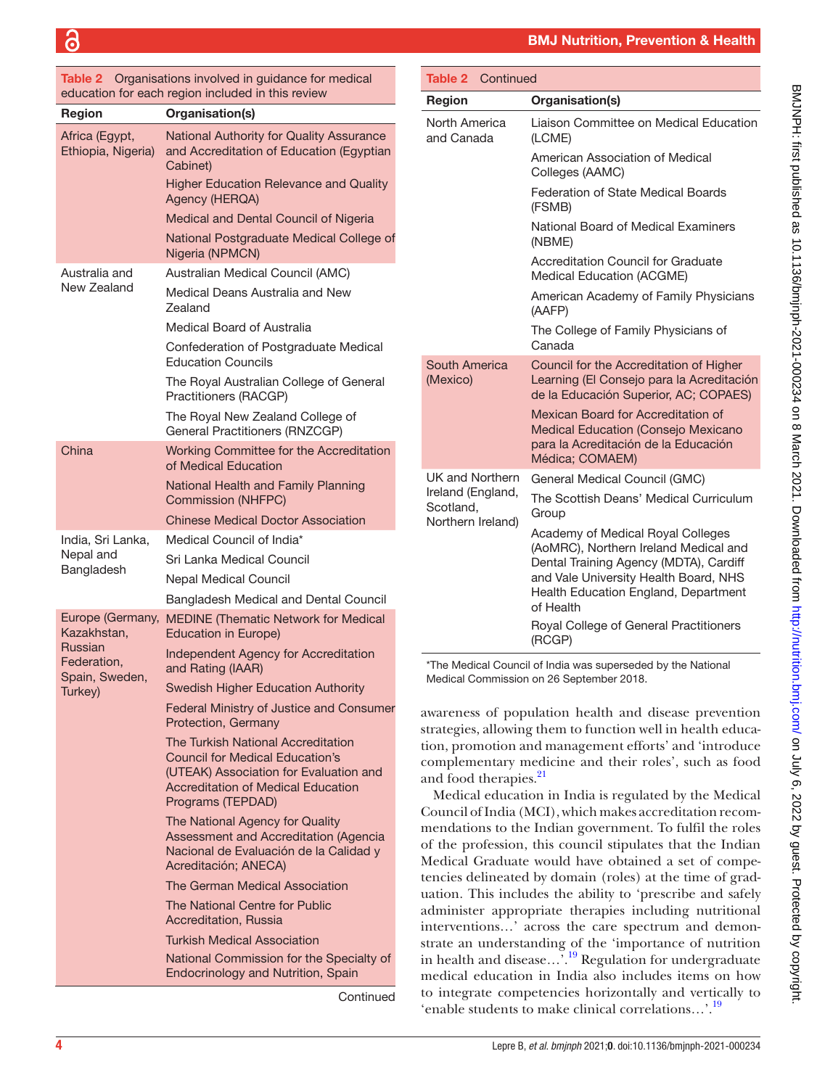#### <span id="page-3-0"></span>Table 2 Organisations involved in guidance for medical education for each region included in this review Region Organisation(s) Africa (Egypt, Ethiopia, Nigeria) National Authority for Quality Assurance and Accreditation of Education (Egyptian Cabinet) Higher Education Relevance and Quality Agency (HERQA) Medical and Dental Council of Nigeria National Postgraduate Medical College of Nigeria (NPMCN) Australia and New Zealand Australian Medical Council (AMC) Medical Deans Australia and New Zealand Medical Board of Australia Confederation of Postgraduate Medical Education Councils The Royal Australian College of General Practitioners (RACGP) North America and Canada (LCME) (FSMB) (NBME) (AAFP) Canada South America (Mexico) Table 2 Continued

The Royal New Zealand College of General Practitioners (RNZCGP) China Working Committee for the Accreditation of Medical Education National Health and Family Planning Commission (NHFPC) Chinese Medical Doctor Association India, Sri Lanka, Nepal and Bangladesh Medical Council of India\* Sri Lanka Medical Council

Nepal Medical Council Bangladesh Medical and Dental Council Europe (Germany, MEDINE (Thematic Network for Medical Kazakhstan, Russian Federation, Education in Europe) Independent Agency for Accreditation

Spain, Sweden, and Rating (IAAR) Swedish Higher Education Authority

Federal Ministry of Justice and Consumer Protection, Germany

The Turkish National Accreditation Council for Medical Education's (UTEAK) Association for Evaluation and Accreditation of Medical Education Programs (TEPDAD)

The National Agency for Quality Assessment and Accreditation (Agencia Nacional de Evaluación de la Calidad y Acreditación; ANECA)

The German Medical Association

The National Centre for Public Accreditation, Russia

Turkish Medical Association National Commission for the Specialty of Endocrinology and Nutrition, Spain

**Continued** 

|                             | <u>DIVIU INULITIOII, FIEVEITUOII &amp; HEAILH</u>               |
|-----------------------------|-----------------------------------------------------------------|
|                             |                                                                 |
| <b>Table 2</b> Continued    |                                                                 |
| <b>Region</b>               | Organisation(s)                                                 |
| North America<br>and Canada | Liaison Committee on Medical Education<br>(LCME)                |
|                             | American Association of Medical<br>Colleges (AAMC)              |
|                             | Federation of State Medical Boards<br>(FSMB)                    |
|                             | National Board of Medical Examiners<br>(NBME)                   |
|                             | Accreditation Council for Graduate<br>Medical Education (ACGME) |
|                             | American Academy of Family Physicians<br>(AAFP)                 |
|                             | The College of Family Physicians of                             |

|                                                     | Canada                                                                                                                                                                                                             |
|-----------------------------------------------------|--------------------------------------------------------------------------------------------------------------------------------------------------------------------------------------------------------------------|
| South America<br>(Mexico)                           | Council for the Accreditation of Higher<br>Learning (El Consejo para la Acreditación<br>de la Educación Superior, AC; COPAES)                                                                                      |
|                                                     | Mexican Board for Accreditation of<br>Medical Education (Consejo Mexicano<br>para la Acreditación de la Educación<br>Médica; COMAEM)                                                                               |
| UK and Northern                                     | General Medical Council (GMC)                                                                                                                                                                                      |
| Ireland (England,<br>Scotland,<br>Northern Ireland) | The Scottish Deans' Medical Curriculum<br>Group                                                                                                                                                                    |
|                                                     | Academy of Medical Royal Colleges<br>(AoMRC), Northern Ireland Medical and<br>Dental Training Agency (MDTA), Cardiff<br>and Vale University Health Board, NHS<br>Health Education England, Department<br>of Health |
|                                                     | Royal College of General Practitioners<br>(RCGP)                                                                                                                                                                   |

\*The Medical Council of India was superseded by the National Medical Commission on 26 September 2018.

awareness of population health and disease prevention strategies, allowing them to function well in health education, promotion and management efforts' and 'introduce complementary medicine and their roles', such as food and food therapies.<sup>[21](#page-10-18)</sup>

Medical education in India is regulated by the Medical Council of India (MCI), which makes accreditation recommendations to the Indian government. To fulfil the roles of the profession, this council stipulates that the Indian Medical Graduate would have obtained a set of competencies delineated by domain (roles) at the time of graduation. This includes the ability to 'prescribe and safely administer appropriate therapies including nutritional interventions…' across the care spectrum and demonstrate an understanding of the 'importance of nutrition in health and disease…'.[19](#page-10-15) Regulation for undergraduate medical education in India also includes items on how to integrate competencies horizontally and vertically to 'enable students to make clinical correlations...'.<sup>19</sup>

Turkey)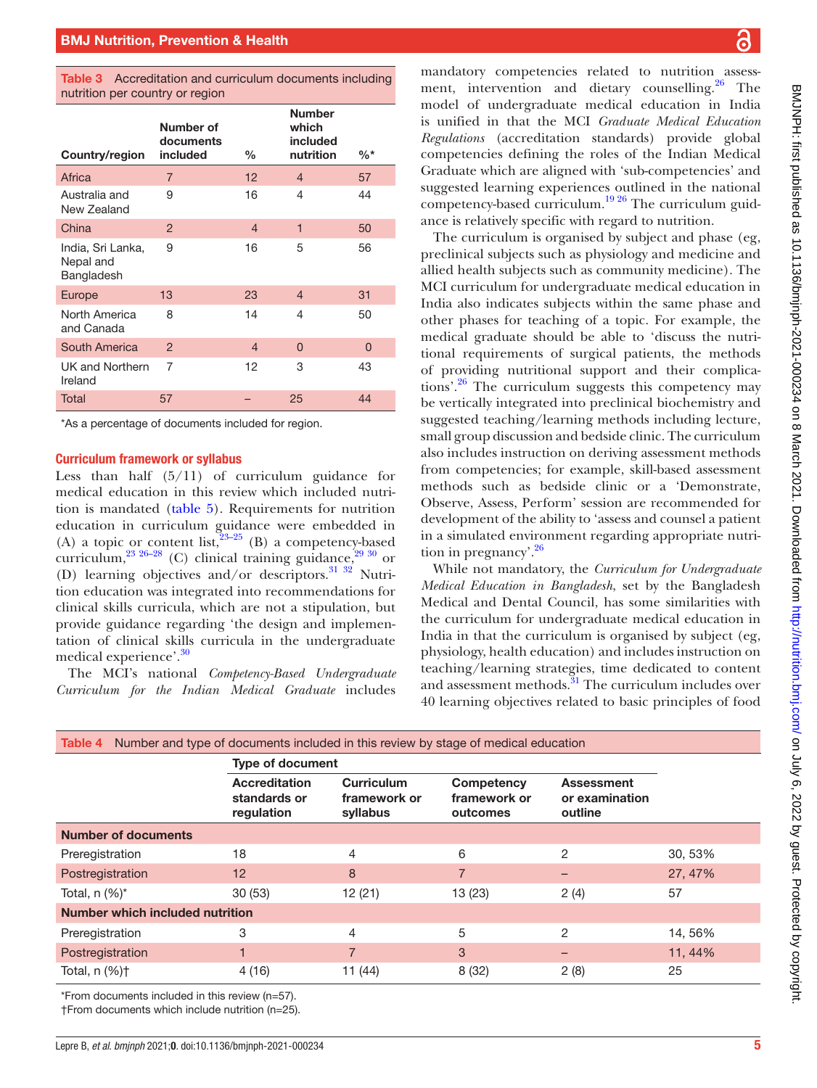<span id="page-4-0"></span>Table 3 Accreditation and curriculum documents including nutrition per country or region

| Country/region                               | Number of<br>documents<br>included | ℅  | <b>Number</b><br>which<br>included<br>nutrition | %* |
|----------------------------------------------|------------------------------------|----|-------------------------------------------------|----|
| Africa                                       | $\overline{7}$                     | 12 | $\overline{4}$                                  | 57 |
| Australia and<br>New Zealand                 | 9                                  | 16 | 4                                               | 44 |
| China                                        | $\overline{2}$                     | 4  | $\mathbf{1}$                                    | 50 |
| India, Sri Lanka,<br>Nepal and<br>Bangladesh | 9                                  | 16 | 5                                               | 56 |
| Europe                                       | 13                                 | 23 | 4                                               | 31 |
| North America<br>and Canada                  | 8                                  | 14 | 4                                               | 50 |
| South America                                | 2                                  | 4  | $\Omega$                                        | 0  |
| <b>UK and Northern</b><br>Ireland            | 7                                  | 12 | 3                                               | 43 |
| <b>Total</b>                                 | 57                                 |    | 25                                              | 44 |

\*As a percentage of documents included for region.

#### Curriculum framework or syllabus

Less than half (5/11) of curriculum guidance for medical education in this review which included nutrition is mandated [\(table](#page-5-0) 5). Requirements for nutrition education in curriculum guidance were embedded in (A) a topic or content list,  $33-25$  (B) a competency-based curriculum,  $23^{26-28}$  (C) clinical training guidance,  $29^{30}$  or (D) learning objectives and/or descriptors.<sup>31</sup> <sup>32</sup> Nutrition education was integrated into recommendations for clinical skills curricula, which are not a stipulation, but provide guidance regarding 'the design and implementation of clinical skills curricula in the undergraduate medical experience'.[30](#page-10-22)

The MCI's national *Competency-Based Undergraduate Curriculum for the Indian Medical Graduate* includes

mandatory competencies related to nutrition assessment, intervention and dietary counselling. $26$  The model of undergraduate medical education in India is unified in that the MCI *Graduate Medical Education Regulations* (accreditation standards) provide global competencies defining the roles of the Indian Medical Graduate which are aligned with 'sub-competencies' and suggested learning experiences outlined in the national competency-based curriculum.<sup>19 26</sup> The curriculum guidance is relatively specific with regard to nutrition.

The curriculum is organised by subject and phase (eg, preclinical subjects such as physiology and medicine and allied health subjects such as community medicine). The MCI curriculum for undergraduate medical education in India also indicates subjects within the same phase and other phases for teaching of a topic. For example, the medical graduate should be able to 'discuss the nutritional requirements of surgical patients, the methods of providing nutritional support and their complications'.[26](#page-10-23) The curriculum suggests this competency may be vertically integrated into preclinical biochemistry and suggested teaching/learning methods including lecture, small group discussion and bedside clinic. The curriculum also includes instruction on deriving assessment methods from competencies; for example, skill-based assessment methods such as bedside clinic or a 'Demonstrate, Observe, Assess, Perform' session are recommended for development of the ability to 'assess and counsel a patient in a simulated environment regarding appropriate nutri-tion in pregnancy'.<sup>[26](#page-10-23)</sup>

While not mandatory, the *Curriculum for Undergraduate Medical Education in Bangladesh*, set by the Bangladesh Medical and Dental Council, has some similarities with the curriculum for undergraduate medical education in India in that the curriculum is organised by subject (eg, physiology, health education) and includes instruction on teaching/learning strategies, time dedicated to content and assessment methods.<sup>31</sup> The curriculum includes over 40 learning objectives related to basic principles of food

<span id="page-4-1"></span>

| Number and type of documents included in this review by stage of medical education<br>Table 4 |                                                    |                                        |                                        |                                                |         |
|-----------------------------------------------------------------------------------------------|----------------------------------------------------|----------------------------------------|----------------------------------------|------------------------------------------------|---------|
|                                                                                               | <b>Type of document</b>                            |                                        |                                        |                                                |         |
|                                                                                               | <b>Accreditation</b><br>standards or<br>regulation | Curriculum<br>framework or<br>syllabus | Competency<br>framework or<br>outcomes | <b>Assessment</b><br>or examination<br>outline |         |
| <b>Number of documents</b>                                                                    |                                                    |                                        |                                        |                                                |         |
| Preregistration                                                                               | 18                                                 | 4                                      | 6                                      | 2                                              | 30, 53% |
| Postregistration                                                                              | 12                                                 | 8                                      |                                        |                                                | 27, 47% |
| Total, $n$ (%)*                                                                               | 30(53)                                             | 12(21)                                 | 13 (23)                                | 2(4)                                           | 57      |
| Number which included nutrition                                                               |                                                    |                                        |                                        |                                                |         |
| Preregistration                                                                               | 3                                                  | 4                                      | 5                                      | 2                                              | 14, 56% |
| Postregistration                                                                              |                                                    | $\overline{7}$                         | 3                                      |                                                | 11, 44% |
| Total, $n$ $%$ ) $\dagger$                                                                    | 4(16)                                              | 11 (44)                                | 8(32)                                  | 2(8)                                           | 25      |

\*From documents included in this review (n=57).

†From documents which include nutrition (n=25).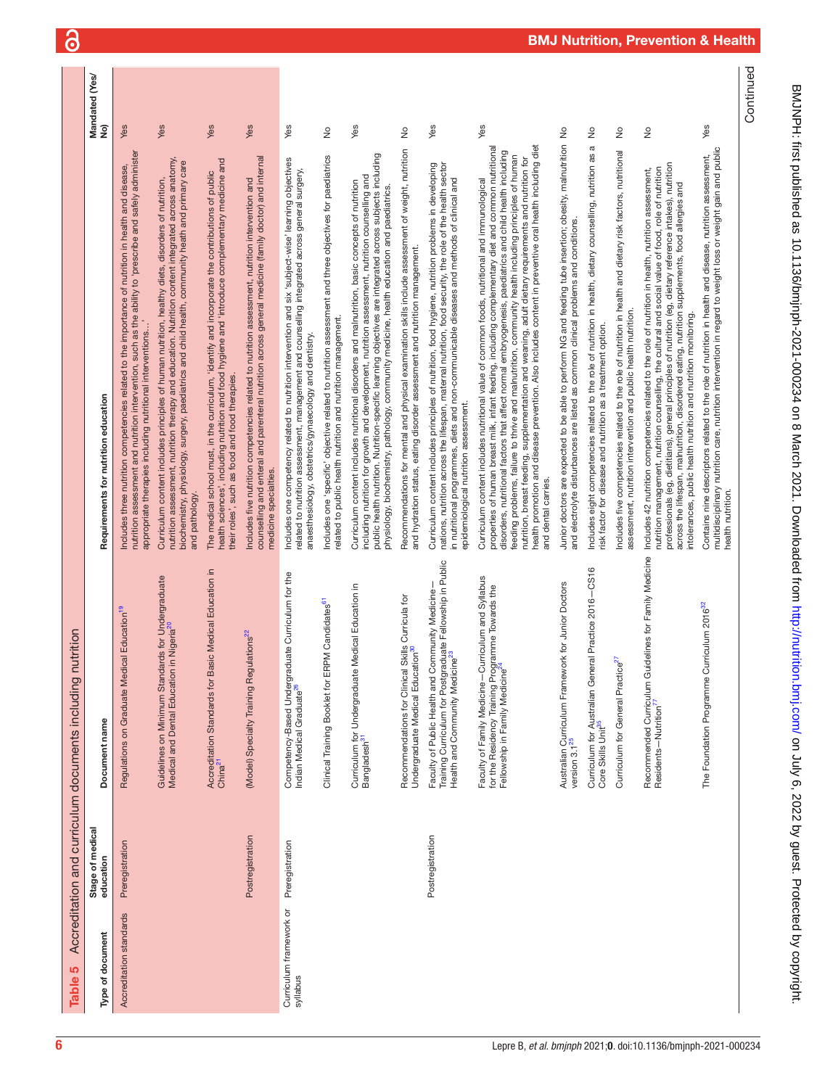<span id="page-5-0"></span>

| Table 5                             |                               | Accreditation and curriculum documents including nutrition                                                                                                   |                                                                                                                                                                                                                                                                                                                                                                                                                                                                                                                                                                                                                                                                   |                                   |
|-------------------------------------|-------------------------------|--------------------------------------------------------------------------------------------------------------------------------------------------------------|-------------------------------------------------------------------------------------------------------------------------------------------------------------------------------------------------------------------------------------------------------------------------------------------------------------------------------------------------------------------------------------------------------------------------------------------------------------------------------------------------------------------------------------------------------------------------------------------------------------------------------------------------------------------|-----------------------------------|
| Type of document                    | Stage of medical<br>education | Document name                                                                                                                                                | Requirements for nutrition education                                                                                                                                                                                                                                                                                                                                                                                                                                                                                                                                                                                                                              | Mandated (Yes/<br>$\widetilde{2}$ |
| Accreditation standards             | Preregistration               | ledical Education <sup>19</sup><br>Regulations on Graduate M                                                                                                 | nutrition assessment and nutrition intervention, such as the ability to 'prescribe and safely administer<br>Includes three nutrition competencies related to the importance of nutrition in health and disease<br>appropriate therapies including nutritional interventions                                                                                                                                                                                                                                                                                                                                                                                       | Yes                               |
|                                     |                               | Guidelines on Minimum Standards for Undergraduate<br>ion in Nigeria <sup>20</sup><br>Medical and Dental Educat                                               | nutrition assessment, nutrition therapy and education. Nutrition content integrated across anatomy<br>biochemistry, physiology, surgery, paediatrics and child health, community heath and primary care<br>Curriculum content includes principles of human nutrition, healthy diets, disorders of nutrition,<br>and pathology.                                                                                                                                                                                                                                                                                                                                    | Yes                               |
|                                     |                               | Basic Medical Education in<br>Accreditation Standards for<br>China <sup>z</sup>                                                                              | health sciences', including nutrition and food hygiene and 'introduce complementary medicine and<br>The medical school must, in the curriculum, 'identify and incorporate the contributions of public<br>their roles', such as food and food therapies.                                                                                                                                                                                                                                                                                                                                                                                                           | Yes                               |
|                                     | Postregistration              | (Model) Specialty Training Regulations <sup>22</sup>                                                                                                         | counselling and enteral and parenteral nutrition across general medicine (family doctor) and internal<br>Includes five nutrition competencies related to nutrition assessment, nutrition intervention and<br>medicine specialties.                                                                                                                                                                                                                                                                                                                                                                                                                                | Yes                               |
| Curriculum framework or<br>syllabus | Preregistration               | Competency-Based Undergraduate Curriculum for the<br>Indian Medical Graduate <sup>26</sup>                                                                   | Includes one competency related to nutrition intervention and six 'subject-wise' learning objectives<br>related to nutrition assessment, management and counselling integrated across general surgery,<br>anaesthesiology, obstetrics/gynaecology and dentistry.                                                                                                                                                                                                                                                                                                                                                                                                  | Yes                               |
|                                     |                               | ERPM Candidates <sup>61</sup><br>Clinical Training Booklet for                                                                                               | Includes one 'specific' objective related to nutrition assessment and three objectives for paediatrics<br>related to public health nutrition and nutrition management.                                                                                                                                                                                                                                                                                                                                                                                                                                                                                            | $\frac{1}{2}$                     |
|                                     |                               | Curriculum for Undergraduate Medical Education in<br>Bangladesh <sup>31</sup>                                                                                | public health nutrition. Nutrition-specific learning objectives are integrated across subjects including<br>including nutrition for growth and development, nutrition assessment, nutrition counselling and<br>Curriculum content includes nutritional disorders and malnutrition, basic concepts of nutrition<br>physiology, biochemistry, pathology, community medicine, health education and paediatrics.                                                                                                                                                                                                                                                      | Yes                               |
|                                     |                               | Recommendations for Clinical Skills Curricula for<br>Undergraduate Medical Education <sup>30</sup>                                                           | Recommendations for mental and physical examination skills include assessment of weight, nutrition<br>and hydration status, eating disorder assessment and nutrition management.                                                                                                                                                                                                                                                                                                                                                                                                                                                                                  | Ş                                 |
|                                     | Postregistration              | Training Curriculum for Postgraduate Fellowship in Public<br>Faculty of Public Health and Community Medicine-<br>Health and Community Medicine <sup>23</sup> | Curriculum content includes principles of nutrition, food hygiene, nutrition problems in developing<br>nations, nutrition across the lifespan, maternal nutrition, food security, the role of the health sector<br>in nutritional programmes, diets and non-communicable diseases and methods of clinical and<br>epidemiological nutrition assessment.                                                                                                                                                                                                                                                                                                            | Yes                               |
|                                     |                               | - Curriculum and Syllabus<br>for the Residency Training Programme Towards the<br>Fellowship in Family Medicine <sup>2</sup><br>Faculty of Family Medicine    | health promotion and disease prevention. Also includes content in preventive oral health including diet<br>properties of human breast milk, infant feeding, including complementary diet and common nutritional<br>disorders, nutritional factors that affect normal embryogenesis, paediatrics and child health including<br>feeding problems, failure to thrive and malnutrition, community health including principles of human<br>nutrition, breast feeding, supplementation and weaning, adult dietary requirements and nutrition for<br>Curriculum content includes nutritional value of common foods, nutritional and immunological<br>and dental carries. | Yes                               |
|                                     |                               | ework for Junior Doctors<br>Australian Curriculum Fram<br>version 3.1 <sup>25</sup>                                                                          | Junior doctors are expected to be able to perform NG and feeding tube insertion; obesity, malnutrition<br>and electrolyte disturbances are listed as common clinical problems and conditions.                                                                                                                                                                                                                                                                                                                                                                                                                                                                     | $\frac{1}{2}$                     |
|                                     |                               | Curriculum for Australian General Practice 2016–CS16<br>Core Skills Unit <sup>35</sup>                                                                       | $\sigma$<br>Includes eight competencies related to the role of nutrition in health, dietary counselling, nutrition as<br>risk factor for disease and nutrition as a treatment option.                                                                                                                                                                                                                                                                                                                                                                                                                                                                             | $\frac{1}{2}$                     |
|                                     |                               | Curriculum for General Practice <sup>27</sup>                                                                                                                | Includes five competencies related to the role of nutrition in health and dietary risk factors, nutritional<br>assessment, nutrition intervention and public health nutrition.                                                                                                                                                                                                                                                                                                                                                                                                                                                                                    | $\frac{1}{2}$                     |
|                                     |                               | Guidelines for Family Medicine<br>Recommended Curriculum<br>Residents - Nutrition <sup>77</sup>                                                              | professionals (eg, dietitians), general principles of nutrition (eg, dietary reference intakes), nutrition<br>nutrition management, nutrition counselling, the cultural and social value of food, role of nutrition<br>Includes 42 nutrition competencies related to the role of nutrition in health, nutrition assessment,<br>across the lifespan, malnutrition, disordered eating, nutrition supplements, food allergies and<br>intolerances, public health nutrition and nutrition monitoring.                                                                                                                                                                 | $\frac{1}{2}$                     |
|                                     |                               | The Foundation Programme Curriculum 2016 <sup>32</sup>                                                                                                       | Contains nine descriptors related to the role of nutrition in health and disease, nutrition assessment,<br>multidisciplinary nutrition care, nutrition intervention in regard to weight loss or weight gain and public<br>health nutrition.                                                                                                                                                                                                                                                                                                                                                                                                                       | Yes                               |

Continued

Continued

င်္ဂ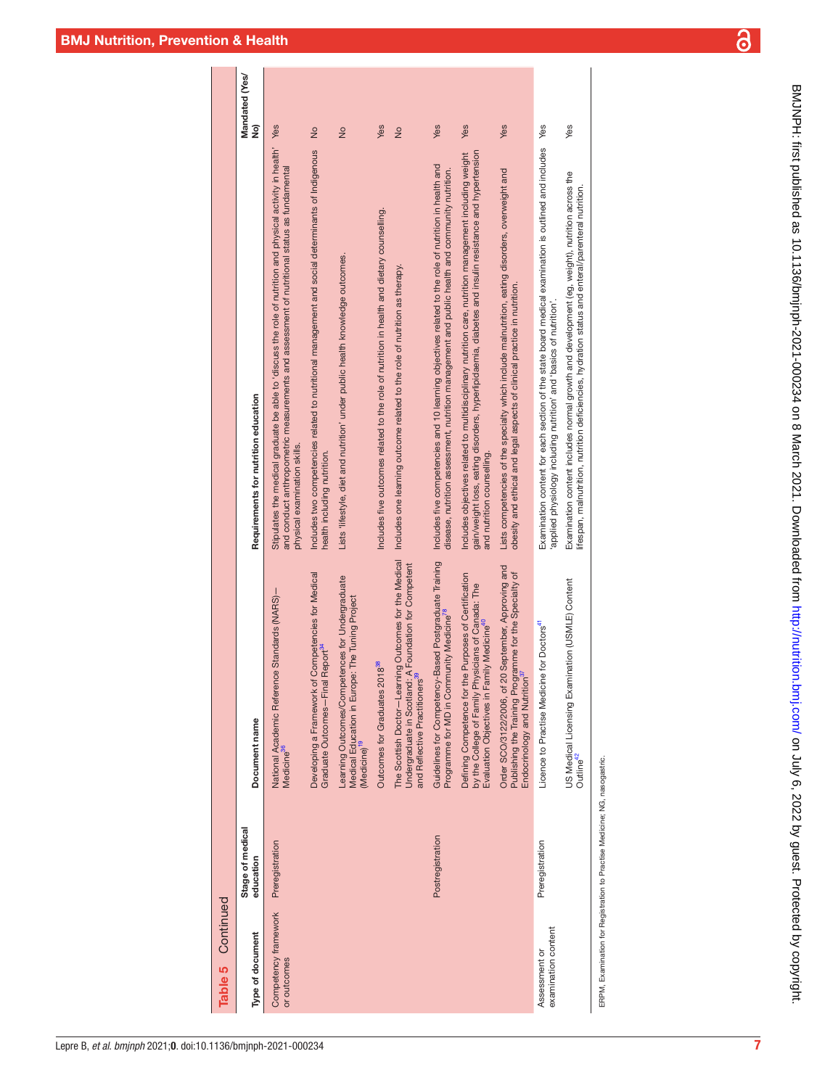l,

| Table 5 Continued                    |                                                                           |                                                                                                                                                                          |                                                                                                                                                                                                                                               |                                 |
|--------------------------------------|---------------------------------------------------------------------------|--------------------------------------------------------------------------------------------------------------------------------------------------------------------------|-----------------------------------------------------------------------------------------------------------------------------------------------------------------------------------------------------------------------------------------------|---------------------------------|
| Type of document                     | Stage of medical<br>education                                             | Document name                                                                                                                                                            | Requirements for nutrition education                                                                                                                                                                                                          | Mandated (Yes/<br>$\frac{1}{2}$ |
| Competency framework<br>or outcomes  | Preregistration                                                           | National Academic Reference Standards (NARS)-<br>Medicine <sup>36</sup>                                                                                                  | Stipulates the medical graduate be able to 'discuss the role of nutrition and physical activity in health'<br>and conduct anthropometric measurements and assessment of nutritional status as fundamental<br>physical examination skills.     | Yes                             |
|                                      |                                                                           | of Competencies for Medical<br>Graduate Outcomes-Final Report <sup>34</sup><br>Developing a Framework                                                                    | Includes two competencies related to nutritional management and social determinants of Indigenous<br>health including nutrition.                                                                                                              | $\frac{1}{2}$                   |
|                                      |                                                                           | Learning Outcomes/Competences for Undergraduate<br>Medical Education in Europe: The Tuning Project<br>(Medicine) <sup>19</sup>                                           | Lists 'lifestyle, diet and nutrition' under public health knowledge outcomes.                                                                                                                                                                 | $\frac{1}{2}$                   |
|                                      |                                                                           | Outcomes for Graduates 2018 <sup>38</sup>                                                                                                                                | Includes five outcomes related to the role of nutrition in health and dietary counselling.                                                                                                                                                    | Yes                             |
|                                      |                                                                           | The Scottish Doctor-Learning Outcomes for the Medical<br>Undergraduate in Scotland: A Foundation for Competent<br>and Reflective Practitioners <sup>39</sup>             | Includes one learning outcome related to the role of nutrition as therapy.                                                                                                                                                                    | $\frac{1}{2}$                   |
|                                      | Postregistration                                                          | Guidelines for Competency-Based Postgraduate Training<br>Programme for MD in Community Medicine <sup>78</sup>                                                            | Includes five competencies and 10 learning objectives related to the role of nutrition in health and<br>disease, nutrition assessment, nutrition management and public health and community nutrition.                                        | Yes                             |
|                                      |                                                                           | the Purposes of Certification<br>by the College of Family Physicians of Canada: The<br>Evaluation Objectives in Family Medicine <sup>40</sup><br>Defining Competence for | gain/weight loss, eating disorders, hyperlipidaemia, diabetes and insulin resistance and hypertension<br>Includes objectives related to multidisciplinary nutrition care, nutrition management including weight<br>and nutrition counselling. | Yes                             |
|                                      |                                                                           | 20 September, Approving and<br>Publishing the Training Programme for the Specialty of<br>Endocrinology and Nutrition <sup>37</sup><br>Order SCO/3122/2006, of            | Lists competencies of the specialty which include malnutrition, eating disorders, overweight and<br>obesity and ethical and legal aspects of clinical practice in nutrition.                                                                  | Yes                             |
| examination content<br>Assessment or | Preregistration                                                           | Licence to Practise Medicine for Doctors <sup>41</sup>                                                                                                                   | Examination content for each section of the state board medical examination is outlined and includes<br>'applied physiology including nutrition' and 'basics of nutrition'                                                                    | Yes                             |
|                                      |                                                                           | US Medical Licensing Examination (USMLE) Content<br>Outline <sup>42</sup>                                                                                                | Examination content includes normal growth and development (eg, weight), nutrition across the<br>lifespan, malnutrition, nutrition deficiencies, hydration status and enteral/parenteral nutrition.                                           | Yes                             |
|                                      | ERPM, Examination for Registration to Practise Medicine; NG, nasogastric. |                                                                                                                                                                          |                                                                                                                                                                                                                                               |                                 |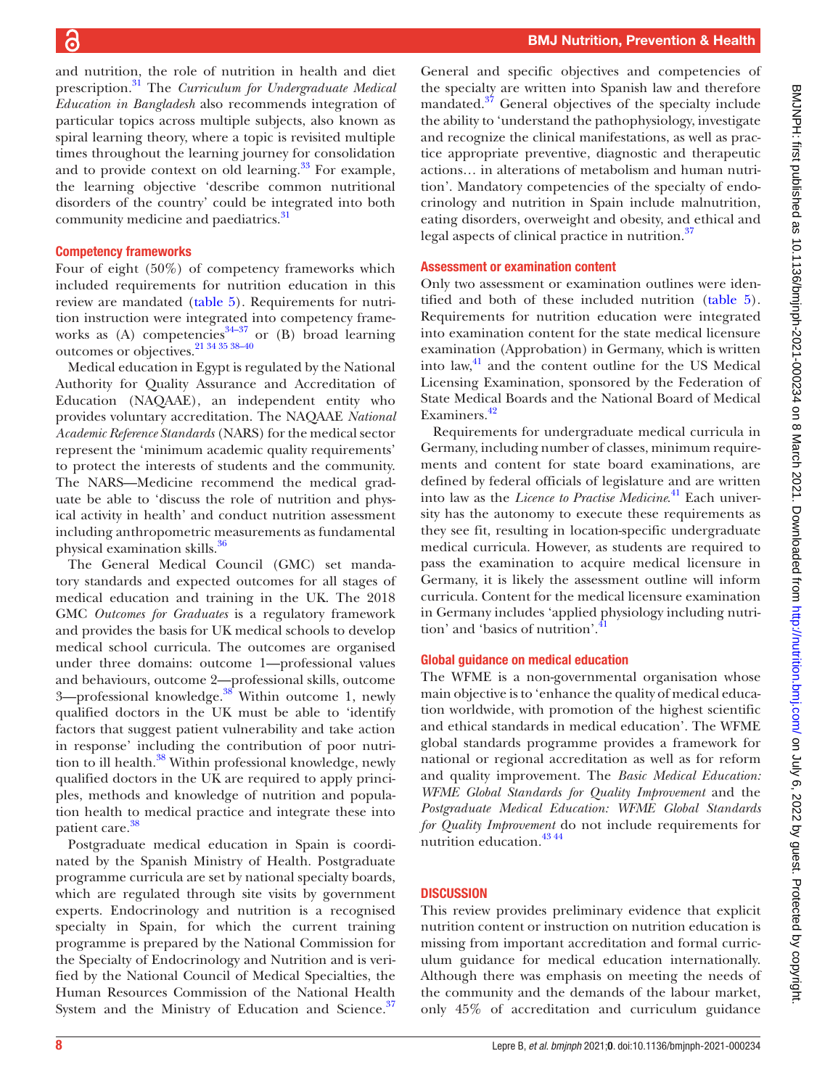and nutrition, the role of nutrition in health and diet prescription[.31](#page-10-21) The *Curriculum for Undergraduate Medical Education in Bangladesh* also recommends integration of particular topics across multiple subjects, also known as spiral learning theory, where a topic is revisited multiple times throughout the learning journey for consolidation and to provide context on old learning. $33$  For example, the learning objective 'describe common nutritional disorders of the country' could be integrated into both community medicine and paediatrics.<sup>[31](#page-10-21)</sup>

## Competency frameworks

Four of eight (50%) of competency frameworks which included requirements for nutrition education in this review are mandated [\(table](#page-5-0) 5). Requirements for nutrition instruction were integrated into competency frameworks as (A) competencies  $34-37$  or (B) broad learning outcomes or objectives.<sup>21</sup> 34 35 38-40

Medical education in Egypt is regulated by the National Authority for Quality Assurance and Accreditation of Education (NAQAAE), an independent entity who provides voluntary accreditation. The NAQAAE *National Academic Reference Standards* (NARS) for the medical sector represent the 'minimum academic quality requirements' to protect the interests of students and the community. The NARS—Medicine recommend the medical graduate be able to 'discuss the role of nutrition and physical activity in health' and conduct nutrition assessment including anthropometric measurements as fundamental physical examination skills.<sup>36</sup>

The General Medical Council (GMC) set mandatory standards and expected outcomes for all stages of medical education and training in the UK. The 2018 GMC *Outcomes for Graduates* is a regulatory framework and provides the basis for UK medical schools to develop medical school curricula. The outcomes are organised under three domains: outcome 1—professional values and behaviours, outcome 2—professional skills, outcome 3—professional knowledge. $35^{\circ}$  Within outcome 1, newly qualified doctors in the UK must be able to 'identify factors that suggest patient vulnerability and take action in response' including the contribution of poor nutrition to ill health.<sup>38</sup> Within professional knowledge, newly qualified doctors in the UK are required to apply principles, methods and knowledge of nutrition and population health to medical practice and integrate these into patient care.<sup>[38](#page-11-4)</sup>

Postgraduate medical education in Spain is coordinated by the Spanish Ministry of Health. Postgraduate programme curricula are set by national specialty boards, which are regulated through site visits by government experts. Endocrinology and nutrition is a recognised specialty in Spain, for which the current training programme is prepared by the National Commission for the Specialty of Endocrinology and Nutrition and is verified by the National Council of Medical Specialties, the Human Resources Commission of the National Health System and the Ministry of Education and Science.<sup>[37](#page-11-8)</sup>

General and specific objectives and competencies of the specialty are written into Spanish law and therefore mandated.<sup>37</sup> General objectives of the specialty include the ability to 'understand the pathophysiology, investigate and recognize the clinical manifestations, as well as practice appropriate preventive, diagnostic and therapeutic actions… in alterations of metabolism and human nutrition'. Mandatory competencies of the specialty of endocrinology and nutrition in Spain include malnutrition, eating disorders, overweight and obesity, and ethical and legal aspects of clinical practice in nutrition.<sup>37</sup>

## Assessment or examination content

Only two assessment or examination outlines were identified and both of these included nutrition [\(table](#page-5-0) 5). Requirements for nutrition education were integrated into examination content for the state medical licensure examination (Approbation) in Germany, which is written into law, $^{41}$  $^{41}$  $^{41}$  and the content outline for the US Medical Licensing Examination, sponsored by the Federation of State Medical Boards and the National Board of Medical Examiners.<sup>[42](#page-11-10)</sup>

Requirements for undergraduate medical curricula in Germany, including number of classes, minimum requirements and content for state board examinations, are defined by federal officials of legislature and are written into law as the *Licence to Practise Medicine*. [41](#page-11-9) Each university has the autonomy to execute these requirements as they see fit, resulting in location-specific undergraduate medical curricula. However, as students are required to pass the examination to acquire medical licensure in Germany, it is likely the assessment outline will inform curricula. Content for the medical licensure examination in Germany includes 'applied physiology including nutrition' and 'basics of nutrition'[.41](#page-11-9)

## Global guidance on medical education

The WFME is a non-governmental organisation whose main objective is to 'enhance the quality of medical education worldwide, with promotion of the highest scientific and ethical standards in medical education'. The WFME global standards programme provides a framework for national or regional accreditation as well as for reform and quality improvement. The *Basic Medical Education: WFME Global Standards for Quality Improvement* and the *Postgraduate Medical Education: WFME Global Standards for Quality Improvement* do not include requirements for nutrition education.<sup>4344</sup>

## **DISCUSSION**

This review provides preliminary evidence that explicit nutrition content or instruction on nutrition education is missing from important accreditation and formal curriculum guidance for medical education internationally. Although there was emphasis on meeting the needs of the community and the demands of the labour market, only 45% of accreditation and curriculum guidance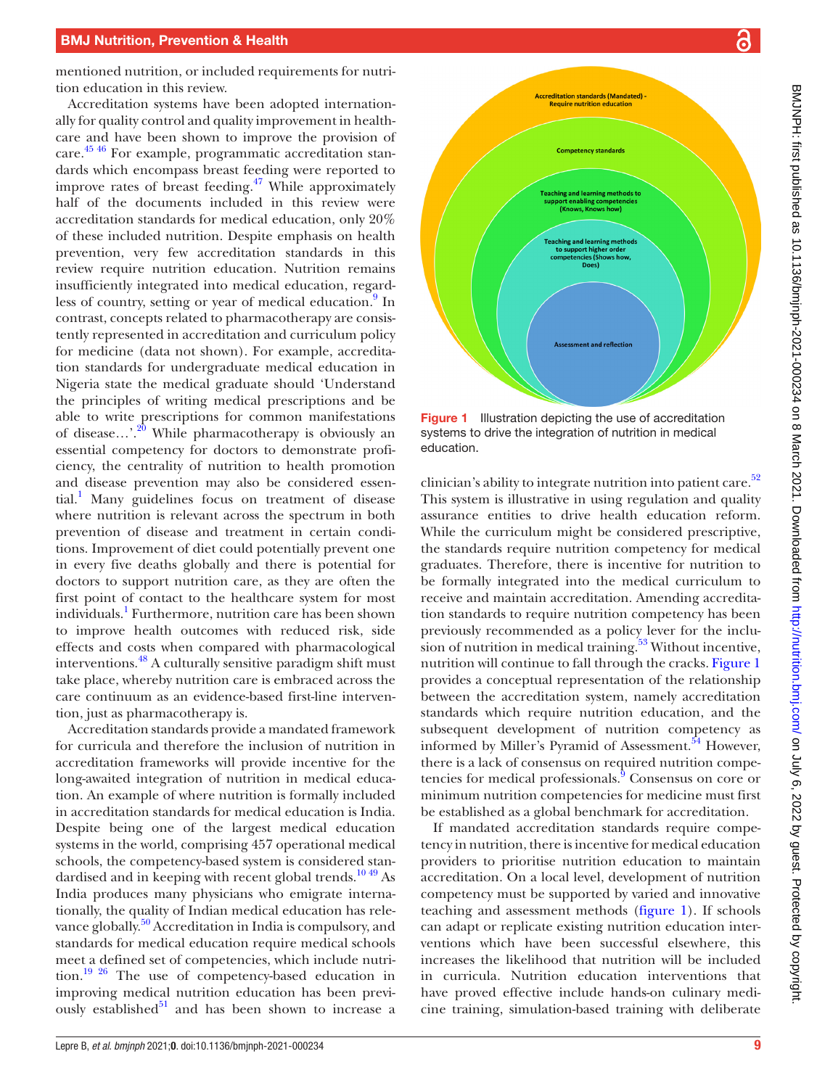mentioned nutrition, or included requirements for nutrition education in this review.

Accreditation systems have been adopted internationally for quality control and quality improvement in healthcare and have been shown to improve the provision of care.<sup>45 46</sup> For example, programmatic accreditation standards which encompass breast feeding were reported to improve rates of breast feeding. $47$  While approximately half of the documents included in this review were accreditation standards for medical education, only 20% of these included nutrition. Despite emphasis on health prevention, very few accreditation standards in this review require nutrition education. Nutrition remains insufficiently integrated into medical education, regardless of country, setting or year of medical education.<sup>9</sup> In contrast, concepts related to pharmacotherapy are consistently represented in accreditation and curriculum policy for medicine (data not shown). For example, accreditation standards for undergraduate medical education in Nigeria state the medical graduate should 'Understand the principles of writing medical prescriptions and be able to write prescriptions for common manifestations of disease…'.[20](#page-10-16) While pharmacotherapy is obviously an essential competency for doctors to demonstrate proficiency, the centrality of nutrition to health promotion and disease prevention may also be considered essen-tial.<sup>[1](#page-10-0)</sup> Many guidelines focus on treatment of disease where nutrition is relevant across the spectrum in both prevention of disease and treatment in certain conditions. Improvement of diet could potentially prevent one in every five deaths globally and there is potential for doctors to support nutrition care, as they are often the first point of contact to the healthcare system for most individuals.[1](#page-10-0) Furthermore, nutrition care has been shown to improve health outcomes with reduced risk, side effects and costs when compared with pharmacological interventions.<sup>48</sup> A culturally sensitive paradigm shift must take place, whereby nutrition care is embraced across the care continuum as an evidence-based first-line intervention, just as pharmacotherapy is.

Accreditation standards provide a mandated framework for curricula and therefore the inclusion of nutrition in accreditation frameworks will provide incentive for the long-awaited integration of nutrition in medical education. An example of where nutrition is formally included in accreditation standards for medical education is India. Despite being one of the largest medical education systems in the world, comprising 457 operational medical schools, the competency-based system is considered standardised and in keeping with recent global trends.<sup>10 49</sup> As India produces many physicians who emigrate internationally, the quality of Indian medical education has relevance globally.<sup>50</sup> Accreditation in India is compulsory, and standards for medical education require medical schools meet a defined set of competencies, which include nutrition.[19 26](#page-10-15) The use of competency-based education in improving medical nutrition education has been previously established $51$  and has been shown to increase a



<span id="page-8-0"></span>Figure 1 Illustration depicting the use of accreditation systems to drive the integration of nutrition in medical education.

clinician's ability to integrate nutrition into patient care.<sup>[52](#page-11-17)</sup> This system is illustrative in using regulation and quality assurance entities to drive health education reform. While the curriculum might be considered prescriptive, the standards require nutrition competency for medical graduates. Therefore, there is incentive for nutrition to be formally integrated into the medical curriculum to receive and maintain accreditation. Amending accreditation standards to require nutrition competency has been previously recommended as a policy lever for the inclu-sion of nutrition in medical training.<sup>[53](#page-11-18)</sup> Without incentive, nutrition will continue to fall through the cracks. [Figure](#page-8-0) 1 provides a conceptual representation of the relationship between the accreditation system, namely accreditation standards which require nutrition education, and the subsequent development of nutrition competency as informed by Miller's Pyramid of Assessment.<sup>[54](#page-11-19)</sup> However, there is a lack of consensus on required nutrition compe-tencies for medical professionals.<sup>[9](#page-10-6)</sup> Consensus on core or minimum nutrition competencies for medicine must first be established as a global benchmark for accreditation.

If mandated accreditation standards require competency in nutrition, there is incentive for medical education providers to prioritise nutrition education to maintain accreditation. On a local level, development of nutrition competency must be supported by varied and innovative teaching and assessment methods [\(figure](#page-8-0) 1). If schools can adapt or replicate existing nutrition education interventions which have been successful elsewhere, this increases the likelihood that nutrition will be included in curricula. Nutrition education interventions that have proved effective include hands-on culinary medicine training, simulation-based training with deliberate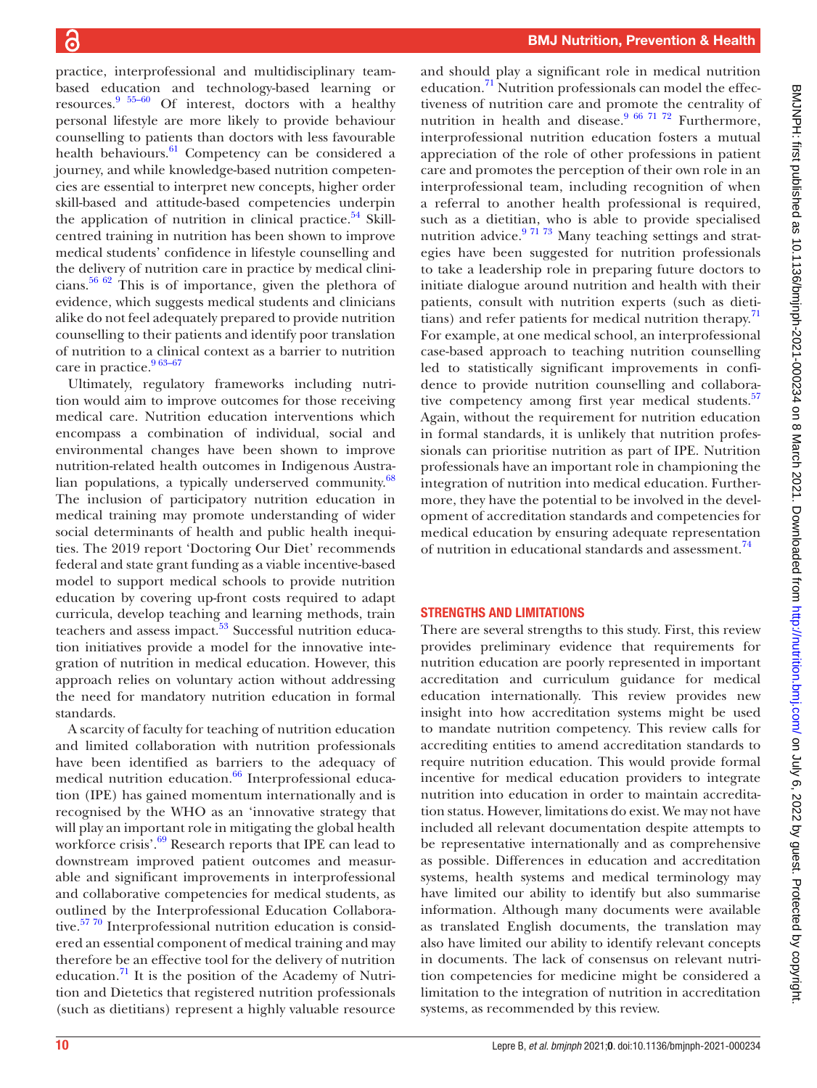practice, interprofessional and multidisciplinary teambased education and technology-based learning or resources. [9 55–60](#page-10-6) Of interest, doctors with a healthy personal lifestyle are more likely to provide behaviour counselling to patients than doctors with less favourable health behaviours.<sup>61</sup> Competency can be considered a journey, and while knowledge-based nutrition competencies are essential to interpret new concepts, higher order skill-based and attitude-based competencies underpin the application of nutrition in clinical practice.<sup>54</sup> Skillcentred training in nutrition has been shown to improve medical students' confidence in lifestyle counselling and the delivery of nutrition care in practice by medical clinicians.<sup>56 62</sup> This is of importance, given the plethora of evidence, which suggests medical students and clinicians alike do not feel adequately prepared to provide nutrition counselling to their patients and identify poor translation of nutrition to a clinical context as a barrier to nutrition care in practice.<sup>963-67</sup>

Ultimately, regulatory frameworks including nutrition would aim to improve outcomes for those receiving medical care. Nutrition education interventions which encompass a combination of individual, social and environmental changes have been shown to improve nutrition-related health outcomes in Indigenous Australian populations, a typically underserved community.<sup>68</sup> The inclusion of participatory nutrition education in medical training may promote understanding of wider social determinants of health and public health inequities. The 2019 report 'Doctoring Our Diet' recommends federal and state grant funding as a viable incentive-based model to support medical schools to provide nutrition education by covering up-front costs required to adapt curricula, develop teaching and learning methods, train teachers and assess impact.<sup>53</sup> Successful nutrition education initiatives provide a model for the innovative integration of nutrition in medical education. However, this approach relies on voluntary action without addressing the need for mandatory nutrition education in formal standards.

A scarcity of faculty for teaching of nutrition education and limited collaboration with nutrition professionals have been identified as barriers to the adequacy of medical nutrition education.<sup>66</sup> Interprofessional education (IPE) has gained momentum internationally and is recognised by the WHO as an 'innovative strategy that will play an important role in mitigating the global health workforce crisis'.<sup>69</sup> Research reports that IPE can lead to downstream improved patient outcomes and measurable and significant improvements in interprofessional and collaborative competencies for medical students, as outlined by the Interprofessional Education Collaborative.[57 70](#page-11-24) Interprofessional nutrition education is considered an essential component of medical training and may therefore be an effective tool for the delivery of nutrition education. $^{71}$  $^{71}$  $^{71}$  It is the position of the Academy of Nutrition and Dietetics that registered nutrition professionals (such as dietitians) represent a highly valuable resource

and should play a significant role in medical nutrition education.<sup>71</sup> Nutrition professionals can model the effectiveness of nutrition care and promote the centrality of nutrition in health and disease.<sup>9 66 71 72</sup> Furthermore, interprofessional nutrition education fosters a mutual appreciation of the role of other professions in patient care and promotes the perception of their own role in an interprofessional team, including recognition of when a referral to another health professional is required, such as a dietitian, who is able to provide specialised nutrition advice.<sup>9 71 73</sup> Many teaching settings and strategies have been suggested for nutrition professionals to take a leadership role in preparing future doctors to initiate dialogue around nutrition and health with their patients, consult with nutrition experts (such as dieti-tians) and refer patients for medical nutrition therapy.<sup>[71](#page-11-25)</sup> For example, at one medical school, an interprofessional case-based approach to teaching nutrition counselling led to statistically significant improvements in confidence to provide nutrition counselling and collabora-tive competency among first year medical students.<sup>[57](#page-11-24)</sup> Again, without the requirement for nutrition education in formal standards, it is unlikely that nutrition professionals can prioritise nutrition as part of IPE. Nutrition professionals have an important role in championing the integration of nutrition into medical education. Furthermore, they have the potential to be involved in the development of accreditation standards and competencies for medical education by ensuring adequate representation of nutrition in educational standards and assessment.<sup>[74](#page-11-26)</sup>

## STRENGTHS AND LIMITATIONS

There are several strengths to this study. First, this review provides preliminary evidence that requirements for nutrition education are poorly represented in important accreditation and curriculum guidance for medical education internationally. This review provides new insight into how accreditation systems might be used to mandate nutrition competency. This review calls for accrediting entities to amend accreditation standards to require nutrition education. This would provide formal incentive for medical education providers to integrate nutrition into education in order to maintain accreditation status. However, limitations do exist. We may not have included all relevant documentation despite attempts to be representative internationally and as comprehensive as possible. Differences in education and accreditation systems, health systems and medical terminology may have limited our ability to identify but also summarise information. Although many documents were available as translated English documents, the translation may also have limited our ability to identify relevant concepts in documents. The lack of consensus on relevant nutrition competencies for medicine might be considered a limitation to the integration of nutrition in accreditation systems, as recommended by this review.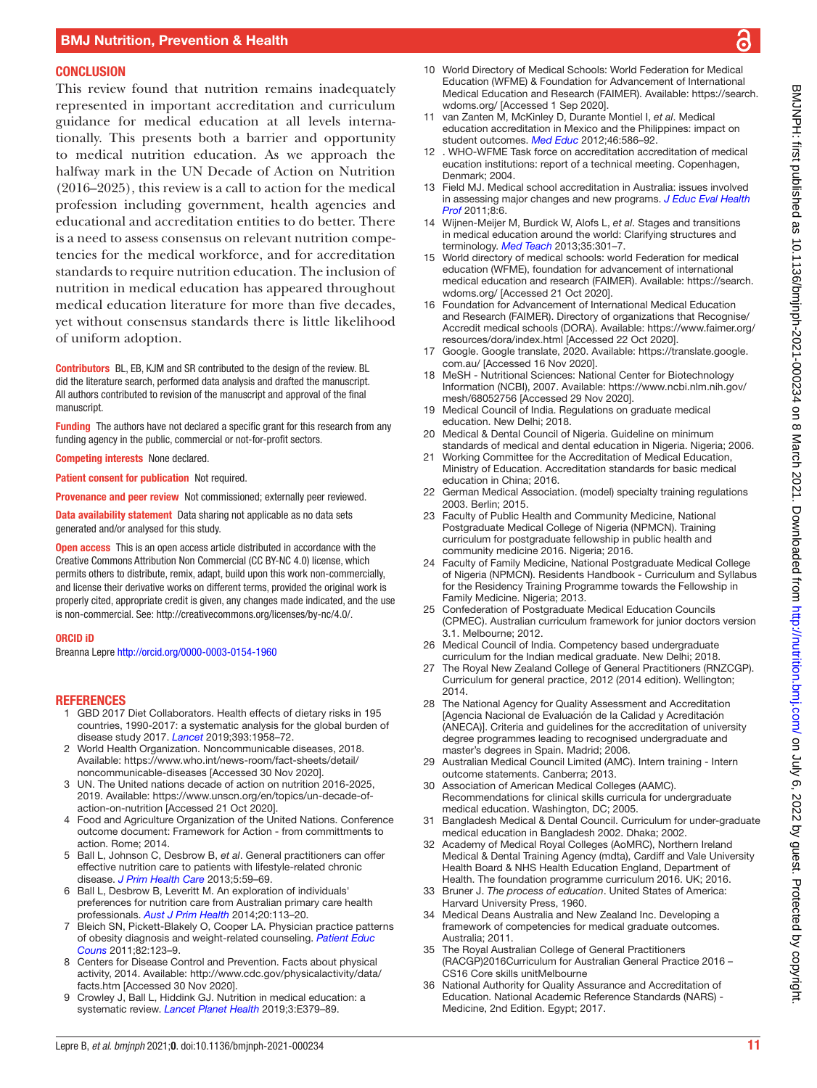## **CONCLUSION**

This review found that nutrition remains inadequately represented in important accreditation and curriculum guidance for medical education at all levels internationally. This presents both a barrier and opportunity to medical nutrition education. As we approach the halfway mark in the UN Decade of Action on Nutrition (2016–2025), this review is a call to action for the medical profession including government, health agencies and educational and accreditation entities to do better. There is a need to assess consensus on relevant nutrition competencies for the medical workforce, and for accreditation standards to require nutrition education. The inclusion of nutrition in medical education has appeared throughout medical education literature for more than five decades, yet without consensus standards there is little likelihood of uniform adoption.

Contributors BL, EB, KJM and SR contributed to the design of the review. BL did the literature search, performed data analysis and drafted the manuscript. All authors contributed to revision of the manuscript and approval of the final manuscript.

**Funding** The authors have not declared a specific grant for this research from any funding agency in the public, commercial or not-for-profit sectors.

Competing interests None declared.

Patient consent for publication Not required.

Provenance and peer review Not commissioned; externally peer reviewed.

Data availability statement Data sharing not applicable as no data sets generated and/or analysed for this study.

Open access This is an open access article distributed in accordance with the Creative Commons Attribution Non Commercial (CC BY-NC 4.0) license, which permits others to distribute, remix, adapt, build upon this work non-commercially, and license their derivative works on different terms, provided the original work is properly cited, appropriate credit is given, any changes made indicated, and the use is non-commercial. See: [http://creativecommons.org/licenses/by-nc/4.0/.](http://creativecommons.org/licenses/by-nc/4.0/)

#### ORCID iD

Breanna Lepre <http://orcid.org/0000-0003-0154-1960>

#### **REFERENCES**

- <span id="page-10-0"></span>1 GBD 2017 Diet Collaborators. Health effects of dietary risks in 195 countries, 1990-2017: a systematic analysis for the global burden of disease study 2017. *[Lancet](http://dx.doi.org/10.1016/S0140-6736(19)30041-8)* 2019;393:1958–72.
- <span id="page-10-1"></span>2 World Health Organization. Noncommunicable diseases, 2018. Available: [https://www.who.int/news-room/fact-sheets/detail/](https://www.who.int/news-room/fact-sheets/detail/noncommunicable-diseases) [noncommunicable-diseases](https://www.who.int/news-room/fact-sheets/detail/noncommunicable-diseases) [Accessed 30 Nov 2020].
- <span id="page-10-2"></span>3 UN. The United nations decade of action on nutrition 2016-2025, 2019. Available: [https://www.unscn.org/en/topics/un-decade-of](https://www.unscn.org/en/topics/un-decade-of-action-on-nutrition)[action-on-nutrition](https://www.unscn.org/en/topics/un-decade-of-action-on-nutrition) [Accessed 21 Oct 2020].
- 4 Food and Agriculture Organization of the United Nations. Conference outcome document: Framework for Action - from committments to action. Rome; 2014.
- <span id="page-10-3"></span>5 Ball L, Johnson C, Desbrow B, *et al*. General practitioners can offer effective nutrition care to patients with lifestyle-related chronic disease. *[J Prim Health Care](http://dx.doi.org/10.1071/HC13059)* 2013;5:59–69.
- 6 Ball L, Desbrow B, Leveritt M. An exploration of individuals' preferences for nutrition care from Australian primary care health professionals. *[Aust J Prim Health](http://dx.doi.org/10.1071/PY12127)* 2014;20:113–20.
- <span id="page-10-4"></span>7 Bleich SN, Pickett-Blakely O, Cooper LA. Physician practice patterns of obesity diagnosis and weight-related counseling. *[Patient Educ](http://dx.doi.org/10.1016/j.pec.2010.02.018)  [Couns](http://dx.doi.org/10.1016/j.pec.2010.02.018)* 2011;82:123–9.
- <span id="page-10-5"></span>8 Centers for Disease Control and Prevention. Facts about physical activity, 2014. Available: [http://www.cdc.gov/physicalactivity/data/](http://www.cdc.gov/physicalactivity/data/facts.htm) [facts.htm](http://www.cdc.gov/physicalactivity/data/facts.htm) [Accessed 30 Nov 2020].
- <span id="page-10-6"></span>9 Crowley J, Ball L, Hiddink GJ. Nutrition in medical education: a systematic review. *[Lancet Planet Health](http://dx.doi.org/10.1016/S2542-5196(19)30171-8)* 2019;3:E379–89.
- <span id="page-10-7"></span>10 World Directory of Medical Schools: World Federation for Medical Education (WFME) & Foundation for Advancement of International Medical Education and Research (FAIMER). Available: [https://search.](https://search.wdoms.org/) [wdoms.org/](https://search.wdoms.org/) [Accessed 1 Sep 2020].
- <span id="page-10-8"></span>11 van Zanten M, McKinley D, Durante Montiel I, *et al*. Medical education accreditation in Mexico and the Philippines: impact on student outcomes. *[Med Educ](http://dx.doi.org/10.1111/j.1365-2923.2011.04212.x)* 2012;46:586–92.
- <span id="page-10-9"></span>12 . WHO-WFME Task force on accreditation accreditation of medical eucation institutions: report of a technical meeting. Copenhagen, Denmark; 2004.
- <span id="page-10-10"></span>13 Field MJ. Medical school accreditation in Australia: issues involved in assessing major changes and new programs. *[J Educ Eval Health](http://dx.doi.org/10.3352/jeehp.2011.8.6)  [Prof](http://dx.doi.org/10.3352/jeehp.2011.8.6)* 2011;8:6.
- <span id="page-10-11"></span>14 Wijnen-Meijer M, Burdick W, Alofs L, *et al*. Stages and transitions in medical education around the world: Clarifying structures and terminology. *[Med Teach](http://dx.doi.org/10.3109/0142159X.2012.746449)* 2013;35:301–7.
- <span id="page-10-12"></span>15 World directory of medical schools: world Federation for medical education (WFME), foundation for advancement of international medical education and research (FAIMER). Available: [https://search.](https://search.wdoms.org/) [wdoms.org/](https://search.wdoms.org/) [Accessed 21 Oct 2020].
- 16 Foundation for Advancement of International Medical Education and Research (FAIMER). Directory of organizations that Recognise/ Accredit medical schools (DORA). Available: [https://www.faimer.org/](https://www.faimer.org/resources/dora/index.html) [resources/dora/index.html](https://www.faimer.org/resources/dora/index.html) [Accessed 22 Oct 2020].
- <span id="page-10-13"></span>17 Google. Google translate, 2020. Available: [https://translate.google.](https://translate.google.com.au/) [com.au/](https://translate.google.com.au/) [Accessed 16 Nov 2020].
- <span id="page-10-14"></span>18 MeSH - Nutritional Sciences: National Center for Biotechnology Information (NCBI), 2007. Available: [https://www.ncbi.nlm.nih.gov/](https://www.ncbi.nlm.nih.gov/mesh/68052756) [mesh/68052756](https://www.ncbi.nlm.nih.gov/mesh/68052756) [Accessed 29 Nov 2020].
- <span id="page-10-15"></span>19 Medical Council of India. Regulations on graduate medical education. New Delhi; 2018.
- <span id="page-10-16"></span>20 Medical & Dental Council of Nigeria. Guideline on minimum standards of medical and dental education in Nigeria. Nigeria; 2006.
- <span id="page-10-18"></span>21 Working Committee for the Accreditation of Medical Education, Ministry of Education. Accreditation standards for basic medical education in China; 2016.
- <span id="page-10-17"></span>22 German Medical Association. (model) specialty training regulations 2003. Berlin; 2015.
- <span id="page-10-19"></span>23 Faculty of Public Health and Community Medicine, National Postgraduate Medical College of Nigeria (NPMCN). Training curriculum for postgraduate fellowship in public health and community medicine 2016. Nigeria; 2016.
- <span id="page-10-24"></span>24 Faculty of Family Medicine, National Postgraduate Medical College of Nigeria (NPMCN). Residents Handbook - Curriculum and Syllabus for the Residency Training Programme towards the Fellowship in Family Medicine. Nigeria; 2013.
- <span id="page-10-25"></span>25 Confederation of Postgraduate Medical Education Councils (CPMEC). Australian curriculum framework for junior doctors version 3.1. Melbourne; 2012.
- <span id="page-10-23"></span>26 Medical Council of India. Competency based undergraduate curriculum for the Indian medical graduate. New Delhi; 2018.
- <span id="page-10-27"></span>27 The Royal New Zealand College of General Practitioners (RNZCGP). Curriculum for general practice, 2012 (2014 edition). Wellington; 2014.
- 28 The National Agency for Quality Assessment and Accreditation [Agencia Nacional de Evaluación de la Calidad y Acreditación (ANECA)]. Criteria and guidelines for the accreditation of university degree programmes leading to recognised undergraduate and master's degrees in Spain. Madrid; 2006.
- <span id="page-10-20"></span>29 Australian Medical Council Limited (AMC). Intern training - Intern outcome statements. Canberra; 2013.
- <span id="page-10-22"></span>30 Association of American Medical Colleges (AAMC). Recommendations for clinical skills curricula for undergraduate medical education. Washington, DC; 2005.
- <span id="page-10-21"></span>31 Bangladesh Medical & Dental Council. Curriculum for under-graduate medical education in Bangladesh 2002. Dhaka; 2002.
- <span id="page-10-28"></span>32 Academy of Medical Royal Colleges (AoMRC), Northern Ireland Medical & Dental Training Agency (mdta), Cardiff and Vale University Health Board & NHS Health Education England, Department of Health. The foundation programme curriculum 2016. UK; 2016.
- <span id="page-10-31"></span>33 Bruner J. *The process of education*. United States of America: Harvard University Press, 1960.
- <span id="page-10-30"></span>34 Medical Deans Australia and New Zealand Inc. Developing a framework of competencies for medical graduate outcomes. Australia; 2011.
- <span id="page-10-26"></span>35 The Royal Australian College of General Practitioners (RACGP)2016Curriculum for Australian General Practice 2016 – CS16 Core skills unitMelbourne
- <span id="page-10-29"></span>36 National Authority for Quality Assurance and Accreditation of Education. National Academic Reference Standards (NARS) - Medicine, 2nd Edition. Egypt; 2017.